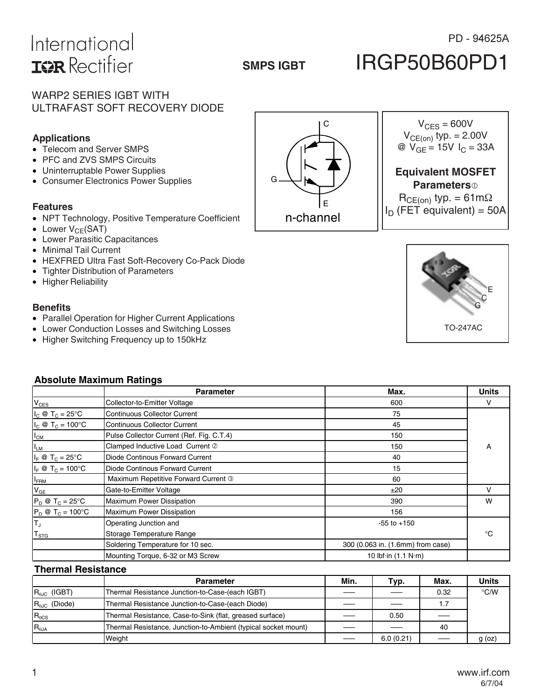# International **ISR** Rectifier

## **SMPS IGBT**

### PD - 94625A

# IRGP50B60PD1

### WARP2 SERIES IGBT WITH ULTRAFAST SOFT RECOVERY DIODE

### **Applications**

- Telecom and Server SMPS
- PFC and ZVS SMPS Circuits
- Uninterruptable Power Supplies
- Consumer Electronics Power Supplies

#### **Features**

- NPT Technology, Positive Temperature Coefficient
- Lower  $V_{CE}(SAT)$
- Lower Parasitic Capacitances
- Minimal Tail Current
- HEXFRED Ultra Fast Soft-Recovery Co-Pack Diode
- Tighter Distribution of Parameters
- Higher Reliability

#### **Benefits**

- Parallel Operation for Higher Current Applications
- Lower Conduction Losses and Switching Losses
- Higher Switching Frequency up to 150kHz

| <b>Absolute Maximum Ratings</b>  |                                           |                                     |              |  |  |  |
|----------------------------------|-------------------------------------------|-------------------------------------|--------------|--|--|--|
|                                  | <b>Parameter</b>                          | Max.                                | <b>Units</b> |  |  |  |
| $V_{CES}$                        | Collector-to-Emitter Voltage              | 600                                 | v            |  |  |  |
| $I_c \otimes T_c = 25$ °C        | <b>Continuous Collector Current</b>       | 75                                  |              |  |  |  |
| $I_c \otimes T_c = 100^{\circ}C$ | <b>Continuous Collector Current</b>       | 45                                  |              |  |  |  |
| $I_{CM}$                         | Pulse Collector Current (Ref. Fig. C.T.4) | 150                                 |              |  |  |  |
| <sup>I</sup> LM                  | Clamped Inductive Load Current 2          | 150                                 | A            |  |  |  |
| $I_F \otimes T_C = 25^{\circ}C$  | Diode Continous Forward Current           | 40                                  |              |  |  |  |
| $I_F \otimes T_C = 100^{\circ}C$ | Diode Continous Forward Current           | 15                                  |              |  |  |  |
| <b>IFRM</b>                      | Maximum Repetitive Forward Current 3      | 60                                  |              |  |  |  |
| $V_{GE}$                         | Gate-to-Emitter Voltage                   | ±20                                 | v            |  |  |  |
| $P_D \otimes T_C = 25^{\circ}C$  | Maximum Power Dissipation                 | 390                                 | W            |  |  |  |
| $P_D @ T_C = 100°C$              | <b>Maximum Power Dissipation</b>          | 156                                 |              |  |  |  |
| $T_J$                            | Operating Junction and                    | $-55$ to $+150$                     |              |  |  |  |
| $\mathsf{T}_{\texttt{STG}}$      | Storage Temperature Range                 |                                     | °€           |  |  |  |
|                                  | Soldering Temperature for 10 sec.         | 300 (0.063 in. (1.6mm) from case)   |              |  |  |  |
|                                  | Mounting Torque, 6-32 or M3 Screw         | 10 lbf $\cdot$ in (1.1 N $\cdot$ m) |              |  |  |  |

#### **Thermal Resistance**

|                               | <b>Parameter</b>                                               | Min. | Typ.      | Max. | <b>Units</b>  |
|-------------------------------|----------------------------------------------------------------|------|-----------|------|---------------|
| $R_{\theta\text{JC}}$ (IGBT)  | Thermal Resistance Junction-to-Case-(each IGBT)                |      |           | 0.32 | $\degree$ C/W |
| $R_{\theta\text{JC}}$ (Diode) | Thermal Resistance Junction-to-Case-(each Diode)               |      |           | 1.7  |               |
| $R_{\theta CS}$               | Thermal Resistance, Case-to-Sink (flat, greased surface)       |      | 0.50      |      |               |
| $R_{\theta$ JA                | Thermal Resistance, Junction-to-Ambient (typical socket mount) |      |           | 40   |               |
|                               | Weight                                                         |      | 6.0(0.21) |      | g(oz)         |



C  $V_{CES} = 600V$  $V_{CE(on)}$  typ. = 2.00V @  $V_{GE} = 15V I_C = 33A$ 

### **Equivalent MOSFET Parameters**

 $R_{CE(on)}$  typ. = 61m $\Omega$  $I_D$  (FET equivalent) = 50A

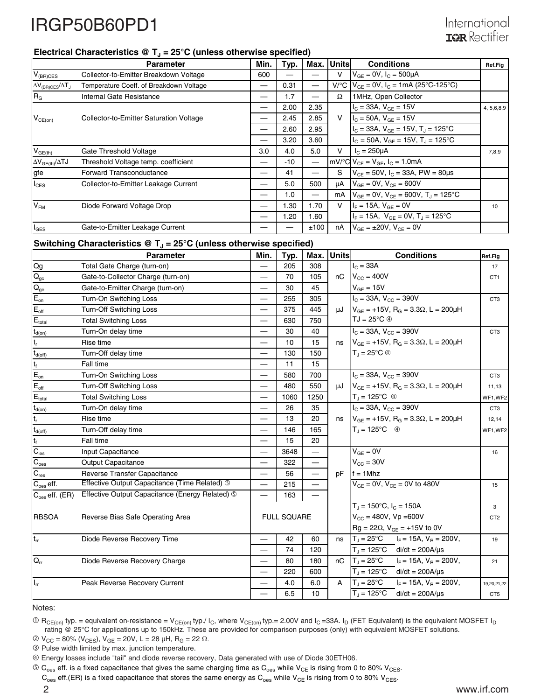### Electrical Characteristics  $\circledR$  T<sub>J</sub> = 25°C (unless otherwise specified)

|                                           | <b>Parameter</b>                               | Min. | Typ.  | Max. | Unitsl       | <b>Conditions</b>                                      | <b>Ref.Fig</b> |
|-------------------------------------------|------------------------------------------------|------|-------|------|--------------|--------------------------------------------------------|----------------|
| $V_{(BR)CES}$                             | Collector-to-Emitter Breakdown Voltage         | 600  |       |      | v            | $V_{GF} = 0V$ , $I_C = 500 \mu A$                      |                |
| $\Delta V_{\rm (BR)CES}/\Delta T_{\rm J}$ | Temperature Coeff. of Breakdown Voltage        | –    | 0.31  |      | V/C          | $V_{GF} = 0V$ , $I_C = 1mA$ (25°C-125°C)               |                |
| $R_G$                                     | Internal Gate Resistance                       |      | 1.7   |      | Ω            | 1MHz, Open Collector                                   |                |
|                                           |                                                |      | 2.00  | 2.35 |              | $I_C = 33A, V_{GE} = 15V$                              | 4, 5, 6, 8, 9  |
| $V_{CE(on)}$                              | <b>Collector-to-Emitter Saturation Voltage</b> |      | 2.45  | 2.85 | $\mathsf{V}$ | $I_{C}$ = 50A, $V_{GE}$ = 15V                          |                |
|                                           |                                                | —    | 2.60  | 2.95 |              | $I_C = 33A$ , $V_{GE} = 15V$ , $T_J = 125$ °C          |                |
|                                           |                                                |      | 3.20  | 3.60 |              | $I_C = 50A$ , $V_{GE} = 15V$ , $T_J = 125$ °C          |                |
| $V_{GE(th)}$                              | Gate Threshold Voltage                         | 3.0  | 4.0   | 5.0  | v            | $I_C = 250 \mu A$                                      | 7,8,9          |
| $\Delta V_{GE(th)}/\Delta TJ$             | Threshold Voltage temp. coefficient            | —    | $-10$ |      |              | $mV$ <sup>o</sup> C $V_{CE} = V_{GE}$ , $I_C = 1.0mA$  |                |
| gfe                                       | <b>Forward Transconductance</b>                | –    | 41    |      | S            | $V_{CF}$ = 50V, $I_C$ = 33A, PW = 80µs                 |                |
| $I_{\text{CES}}$                          | Collector-to-Emitter Leakage Current           |      | 5.0   | 500  | μA           | $V_{GE} = 0V$ , $V_{CE} = 600V$                        |                |
|                                           |                                                |      | 1.0   |      | mA           | $V_{GE}$ = 0V, $V_{CE}$ = 600V, T <sub>J</sub> = 125°C |                |
| V <sub>FM</sub>                           | Diode Forward Voltage Drop                     |      | 1.30  | 1.70 | v            | $I_F = 15A$ , $V_{GF} = 0V$                            | 10             |
|                                           |                                                |      | 1.20  | 1.60 |              | $I_F = 15A$ , $V_{GF} = 0V$ , $T_A = 125^{\circ}C$     |                |
| $I_{\texttt{GES}}$                        | Gate-to-Emitter Leakage Current                |      |       | ±100 | nA           | $V_{GF} = \pm 20V$ , $V_{CF} = 0V$                     |                |

### Switching Characteristics @ T<sub>J</sub> = 25°C (unless otherwise specified)

|                                                   | <b>Parameter</b>                                | Min.                     | Typ.               | Max.                     | <b>Units</b> | <b>Conditions</b>                                                        | Ref.Fig         |
|---------------------------------------------------|-------------------------------------------------|--------------------------|--------------------|--------------------------|--------------|--------------------------------------------------------------------------|-----------------|
| Qg                                                | Total Gate Charge (turn-on)                     | $\overline{\phantom{0}}$ | 205                | 308                      |              | $IC = 33A$                                                               | 17              |
| $Q_{\rm ge}$                                      | Gate-to-Collector Charge (turn-on)              |                          | 70                 | 105                      |              | $nC$ $V_{CC} = 400V$                                                     | CT <sub>1</sub> |
|                                                   | Gate-to-Emitter Charge (turn-on)                | —                        | 30                 | 45                       |              | $V_{GE} = 15V$                                                           |                 |
| $E_{on}$                                          | Turn-On Switching Loss                          | —                        | 255                | 305                      |              | $I_C = 33A$ , $V_{CC} = 390V$                                            | CT <sub>3</sub> |
| $E_{\underline{\text{off}}}$                      | <b>Turn-Off Switching Loss</b>                  |                          | 375                | 445                      |              | $\mu$ J $V_{GE}$ = +15V, R <sub>G</sub> = 3.3 $\Omega$ , L = 200 $\mu$ H |                 |
| $E_{\text{total}}$                                | <b>Total Switching Loss</b>                     | —                        | 630                | 750                      |              | $TJ = 25^{\circ}C \circledcirc$                                          |                 |
| $t_{d(on)}$                                       | Turn-On delay time                              |                          | 30                 | 40                       |              | $I_{C}$ = 33A, $V_{CC}$ = 390V                                           | CT3             |
| $t_r$                                             | Rise time                                       |                          | 10                 | 15                       |              | ns $V_{GE}$ = +15V, R <sub>G</sub> = 3.3 $\Omega$ , L = 200µH            |                 |
|                                                   | Turn-Off delay time                             | —                        | 130                | 150                      |              | $T_J = 25^{\circ}C \circledcirc$                                         |                 |
| $\frac{t_{d{\rm (off)}}}{t_{\rm f}}$ $E_{\rm on}$ | Fall time                                       | $\overline{\phantom{0}}$ | 11                 | 15                       |              |                                                                          |                 |
|                                                   | Turn-On Switching Loss                          |                          | 580                | 700                      |              | $I_{C}$ = 33A, $V_{CC}$ = 390V                                           | CT <sub>3</sub> |
| $E_{\text{off}}$                                  | <b>Turn-Off Switching Loss</b>                  | —                        | 480                | 550                      |              | $\mu$ J $V_{GE}$ = +15V, R <sub>G</sub> = 3.3 $\Omega$ , L = 200 $\mu$ H | 11,13           |
| $E_{\text{total}}$                                | <b>Total Switching Loss</b>                     |                          | 1060               | 1250                     |              | $T_J = 125^{\circ}C$ 4                                                   | WF1,WF2         |
| $t_{d(on)}$                                       | Turn-On delay time                              |                          | 26                 | 35                       |              | $I_C = 33A$ , $V_{CC} = 390V$                                            | CT3             |
| $\mathfrak{t}_{\sf r}$                            | Rise time                                       | $\overline{\phantom{0}}$ | 13                 | 20                       |              | ns $V_{GE} = +15V$ , R <sub>G</sub> = 3.3 $\Omega$ , L = 200µH           | 12,14           |
| $t_{d(off)}$                                      | Turn-Off delay time                             | —                        | 146                | 165                      |              | $T_J = 125^{\circ}C \quad \circledcirc$                                  | WF1,WF2         |
| $t_f$                                             | Fall time                                       |                          | 15                 | 20                       |              |                                                                          |                 |
| $C_{\text{ies}}$                                  | Input Capacitance                               | —                        | 3648               | $\overline{\phantom{0}}$ |              | $V_{GE} = 0V$                                                            | 16              |
| $C_{\text{oes}}$                                  | <b>Output Capacitance</b>                       |                          | 322                | $\overline{\phantom{0}}$ |              | $V_{CC}$ = 30V                                                           |                 |
| $C_{res}$                                         | <b>Reverse Transfer Capacitance</b>             | $\overline{\phantom{0}}$ | 56                 | $\overline{\phantom{0}}$ | pF           | $f = 1$ Mhz                                                              |                 |
| $C_{\rm {oes}}$ eff.                              | Effective Output Capacitance (Time Related) 5   | —                        | 215                | —                        |              | $V_{GE} = 0V$ , $V_{CE} = 0V$ to 480V                                    | 15              |
| $C_{\text{oes}}$ eff. (ER)                        | Effective Output Capacitance (Energy Related) 5 |                          | 163                |                          |              |                                                                          |                 |
|                                                   |                                                 |                          |                    |                          |              | $T_J = 150^{\circ}C$ , $I_C = 150A$                                      | 3               |
| <b>RBSOA</b>                                      | Reverse Bias Safe Operating Area                |                          | <b>FULL SQUARE</b> |                          |              | $V_{CC}$ = 480V, Vp = 600V                                               | CT <sub>2</sub> |
|                                                   |                                                 |                          |                    |                          |              | $Rg = 22\Omega$ , $V_{GE} = +15V$ to 0V                                  |                 |
| $\mathsf{t}_{\mathsf{rr}}$                        | Diode Reverse Recovery Time                     | —                        | 42                 | 60                       | ns           | $T_J = 25^{\circ}C$ $I_F = 15A$ , $V_B = 200V$ ,                         | 19              |
|                                                   |                                                 | —                        | 74                 | 120                      |              | $T_J = 125^{\circ}$ C di/dt = 200A/µs                                    |                 |
| $\overline{O}$                                    | Diode Reverse Recovery Charge                   |                          | 80                 | 180                      |              | nC $T_J = 25^{\circ}C$ $I_F = 15A$ , $V_B = 200V$ ,                      | 21              |
|                                                   |                                                 | —                        | 220                | 600                      |              | $T_J = 125^{\circ}$ C di/dt = 200A/µs                                    |                 |
| $I_{rr}$                                          | Peak Reverse Recovery Current                   | $\overline{\phantom{0}}$ | 4.0                | 6.0                      | $\mathsf{A}$ | $T_J = 25^{\circ}C$ $I_F = 15A$ , $V_B = 200V$ ,                         | 19,20,21,22     |
|                                                   |                                                 |                          | 6.5                | 10                       |              | $T_{J} = 125^{\circ}$ C di/dt = 200A/µs                                  | CT5             |

Notes:

 $\textcircled{1}$  R<sub>CE(on)</sub> typ. = equivalent on-resistance = V<sub>CE(on)</sub> typ./ I<sub>C</sub>, where V<sub>CE(on)</sub> typ.= 2.00V and I<sub>C</sub> =33A. I<sub>D</sub> (FET Equivalent) is the equivalent MOSFET I<sub>D</sub> rating @ 25°C for applications up to 150kHz. These are provided for comparison purposes (only) with equivalent MOSFET solutions.

 $\textcircled{2}$  V<sub>CC</sub> = 80% (V<sub>CES</sub>), V<sub>GE</sub> = 20V, L = 28 μH, R<sub>G</sub> = 22 Ω.

Pulse width limited by max. junction temperature.

Energy losses include "tail" and diode reverse recovery, Data generated with use of Diode 30ETH06.

 $\circledcirc$  C<sub>oes</sub> eff. is a fixed capacitance that gives the same charging time as C<sub>oes</sub> while V<sub>CE</sub> is rising from 0 to 80% V<sub>CES</sub>.

 $C_{oes}$  eff.(ER) is a fixed capacitance that stores the same energy as  $C_{oes}$  while  $V_{CE}$  is rising from 0 to 80%  $V_{CES}$ .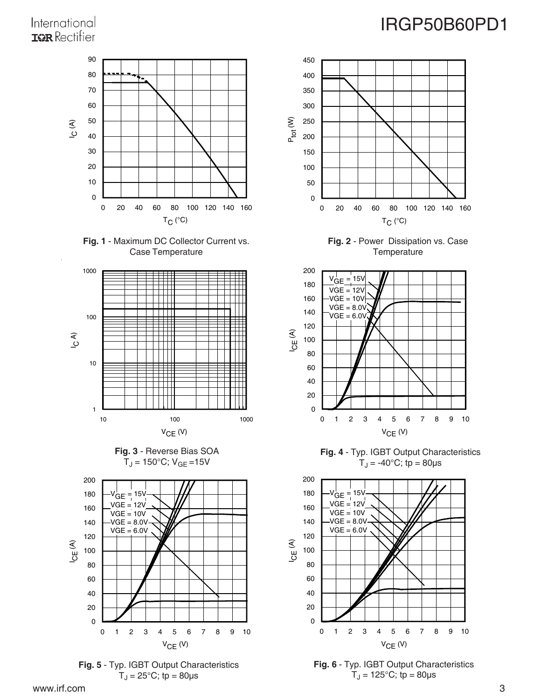### International **IOR** Rectifier















**Fig. 2** - Power Dissipation vs. Case **Temperature** 

 $T_C$  (°C)



**Fig. 4** - Typ. IGBT Output Characteristics  $T_J = -40$ °C; tp = 80 $\mu$ s



**Fig. 6** - Typ. IGBT Output Characteristics  $T_J = 125^{\circ}C$ ; tp = 80 µs

# IRGP50B60PD1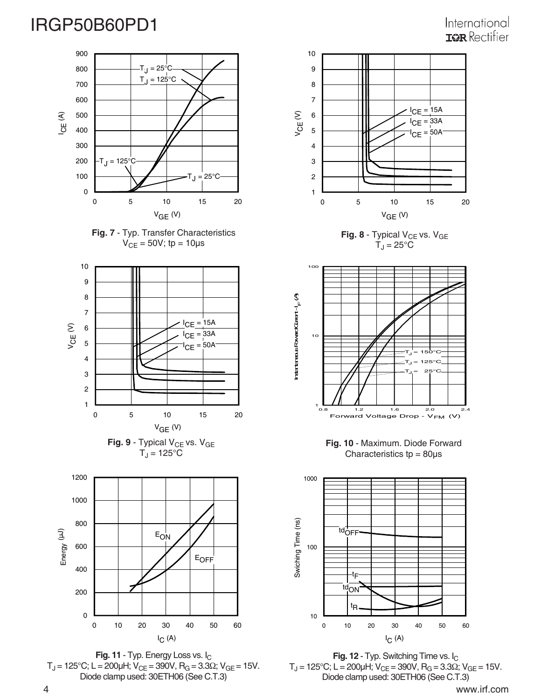## International **IGR** Rectifier















**Fig. 12** - Typ. Switching Time vs. I<sub>C</sub>  $T_J$  = 125°C; L = 200μH; V<sub>CE</sub> = 390V, R<sub>G</sub> = 3.3Ω; V<sub>GE</sub> = 15V. Diode clamp used: 30ETH06 (See C.T.3)

0 10 20 30 40 50 60 I C (A)

10

t R

t F td<sub>ON</sub>

4 www.irf.com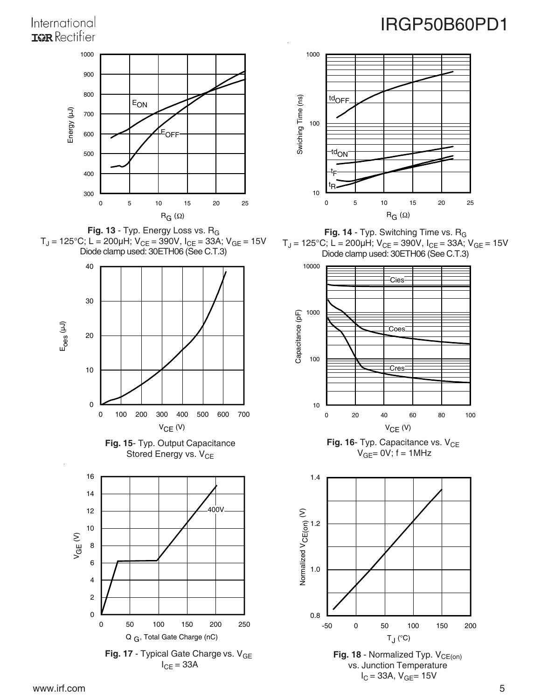## International **IOR** Rectifier



**Fig. 13** - Typ. Energy Loss vs. RG T $_{\textrm{J}}$  = 125°C; L = 200µH; V $_{\textrm{CE}}$  = 390V, I $_{\textrm{CE}}$  = 33A; V $_{\textrm{GE}}$  = 15V Diode clamp used: 30ETH06 (See C.T.3)









# IRGP50B60PD1



**Fig. 14** - Typ. Switching Time vs. R<sub>G</sub>  $T_J = 125^{\circ}$ C; L = 200µH; V<sub>CE</sub> = 390V, I<sub>CE</sub> = 33A; V<sub>GE</sub> = 15V Diode clamp used: 30ETH06 (See C.T.3)



**Fig. 16**- Typ. Capacitance vs. V<sub>CE</sub>  $V_{GE} = 0V$ ; f = 1MHz



Fig. 18 - Normalized Typ. V<sub>CE(on)</sub> vs. Junction Temperature  $I_C = 33A$ ,  $V_{GE} = 15V$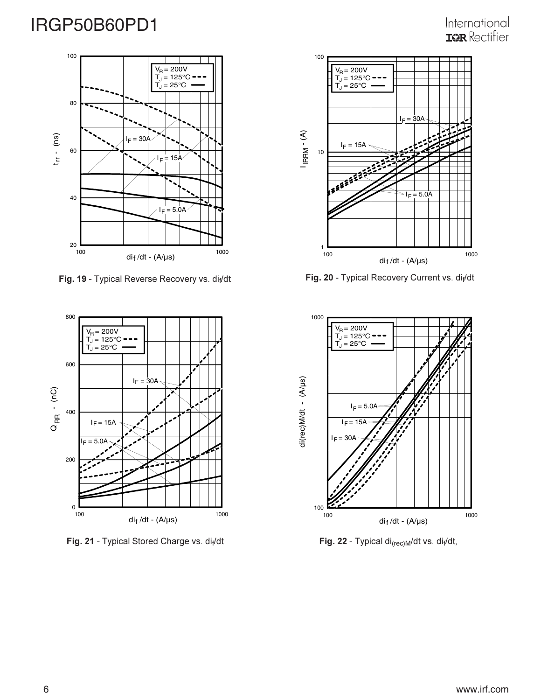### International **ISR** Rectifier



**Fig. 19** - Typical Reverse Recovery vs. di<sub>f</sub>/dt **Fig. 20** - Typical Recovery Current vs. di<sub>f</sub>



**Fig. 21** - Typical Stored Charge vs. di<sub>f</sub>/dt **Fig. 21** - Typical Stored Charge vs. di<sub>f</sub>/dt



ecovery vs. di<sub>f</sub>/dt **Fig. 20** - Typical Recovery Current vs. di<sub>f</sub>/dt



**g. 22** - Typical di<sub>(rec)M</sub>/dt vs. di<sub>f</sub>/dt,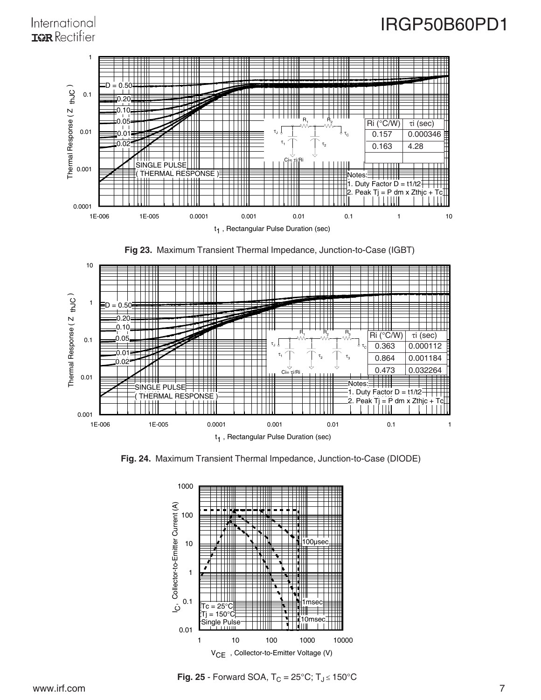### International **IGR** Rectifier



**Fig 23.** Maximum Transient Thermal Impedance, Junction-to-Case (IGBT)



**Fig. 24.** Maximum Transient Thermal Impedance, Junction-to-Case (DIODE)



**Fig. 25** - Forward SOA,  $T_C = 25^{\circ}C$ ;  $T_J \le 150^{\circ}C$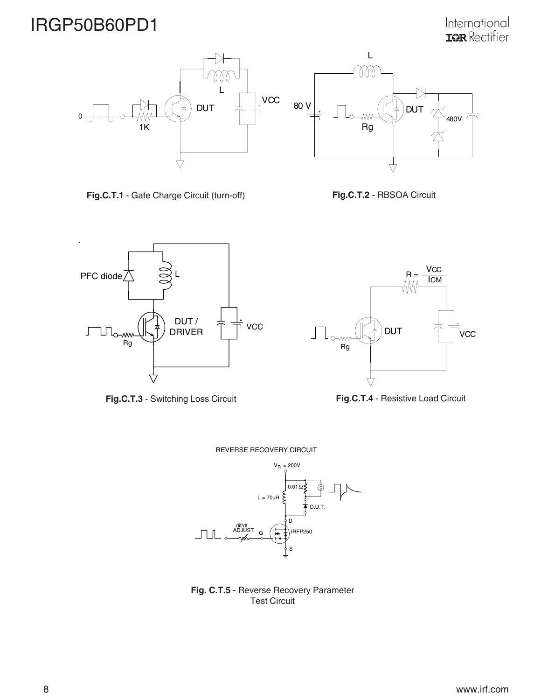International<br>T<sup>2</sup>Rectifier



**Fig.C.T.1** - Gate Charge Circuit (turn-off) **Fig.C.T.2** - RBSOA Circuit



**Fig.C.T.3** - Switching Loss Circuit



**Fig.C.T.4** - Resistive Load Circuit

REVERSE RECOVERY CIRCUIT



**Fig. C.T.5** - Reverse Recovery Parameter Test Circuit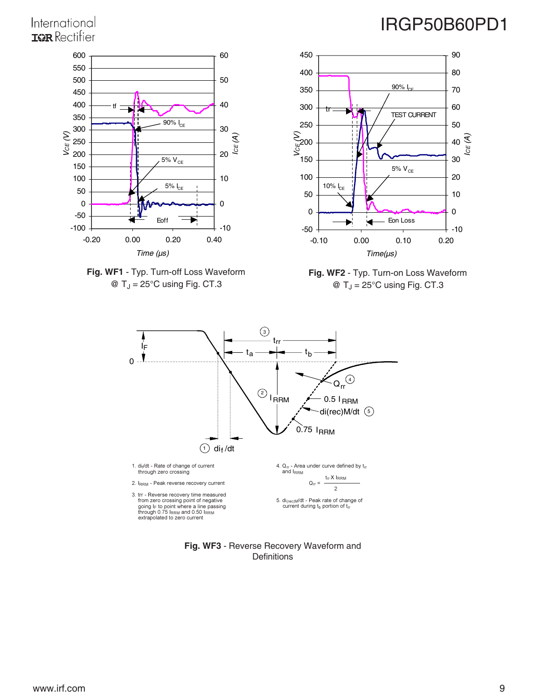## International **IGR** Rectifier









**Fig. WF2** - Typ. Turn-on Loss Waveform  $\textcircled{a}$  T<sub>J</sub> = 25°C using Fig. CT.3